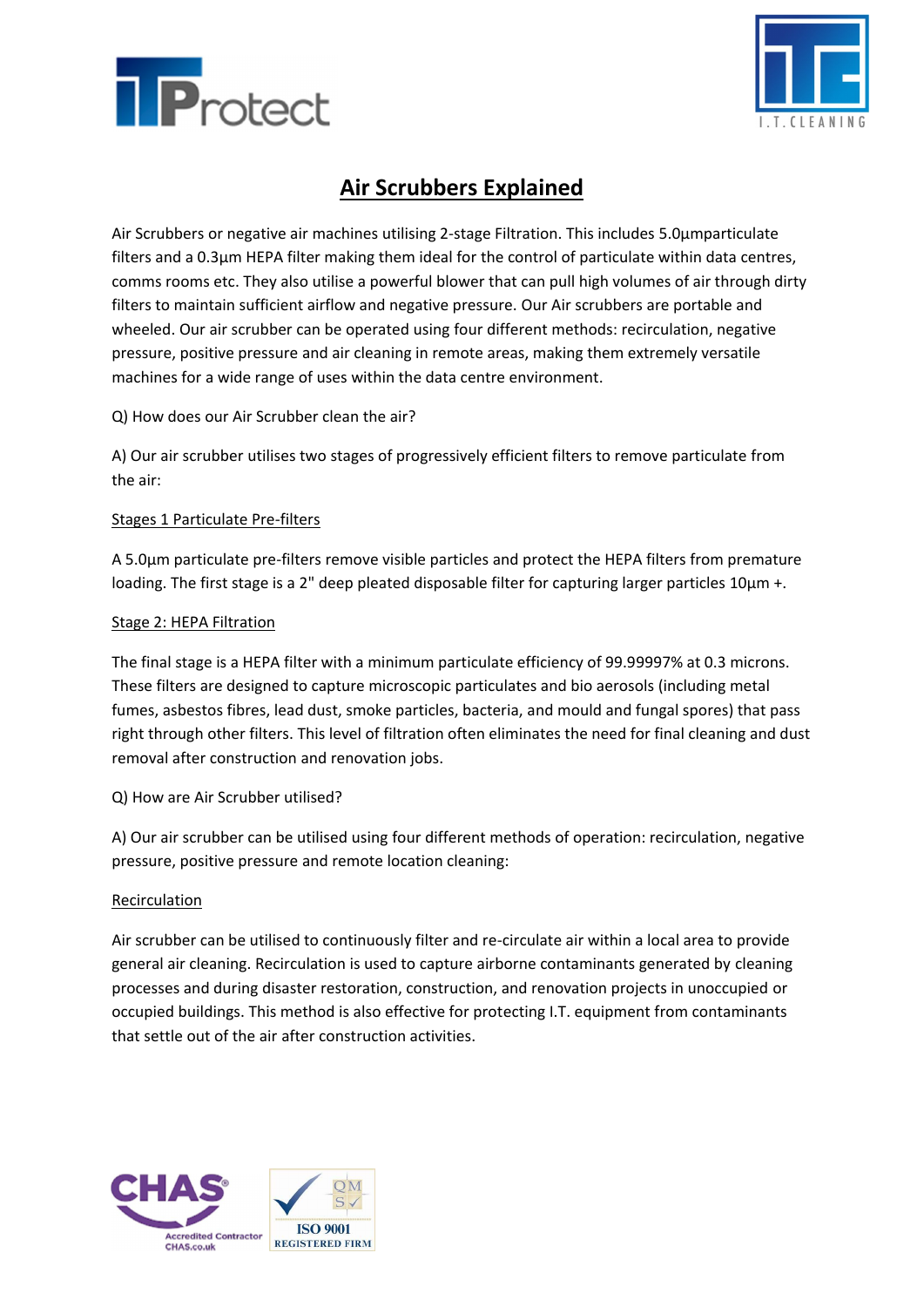



# **Air Scrubbers Explained**

Air Scrubbers or negative air machines utilising 2-stage Filtration. This includes 5.0µmparticulate filters and a 0.3µm HEPA filter making them ideal for the control of particulate within data centres, comms rooms etc. They also utilise a powerful blower that can pull high volumes of air through dirty filters to maintain sufficient airflow and negative pressure. Our Air scrubbers are portable and wheeled. Our air scrubber can be operated using four different methods: recirculation, negative pressure, positive pressure and air cleaning in remote areas, making them extremely versatile machines for a wide range of uses within the data centre environment.

Q) How does our Air Scrubber clean the air?

A) Our air scrubber utilises two stages of progressively efficient filters to remove particulate from the air:

### Stages 1 Particulate Pre-filters

A 5.0µm particulate pre-filters remove visible particles and protect the HEPA filters from premature loading. The first stage is a 2" deep pleated disposable filter for capturing larger particles 10µm +.

#### Stage 2: HEPA Filtration

The final stage is a HEPA filter with a minimum particulate efficiency of 99.99997% at 0.3 microns. These filters are designed to capture microscopic particulates and bio aerosols (including metal fumes, asbestos fibres, lead dust, smoke particles, bacteria, and mould and fungal spores) that pass right through other filters. This level of filtration often eliminates the need for final cleaning and dust removal after construction and renovation jobs.

### Q) How are Air Scrubber utilised?

A) Our air scrubber can be utilised using four different methods of operation: recirculation, negative pressure, positive pressure and remote location cleaning:

#### Recirculation

Air scrubber can be utilised to continuously filter and re-circulate air within a local area to provide general air cleaning. Recirculation is used to capture airborne contaminants generated by cleaning processes and during disaster restoration, construction, and renovation projects in unoccupied or occupied buildings. This method is also effective for protecting I.T. equipment from contaminants that settle out of the air after construction activities.